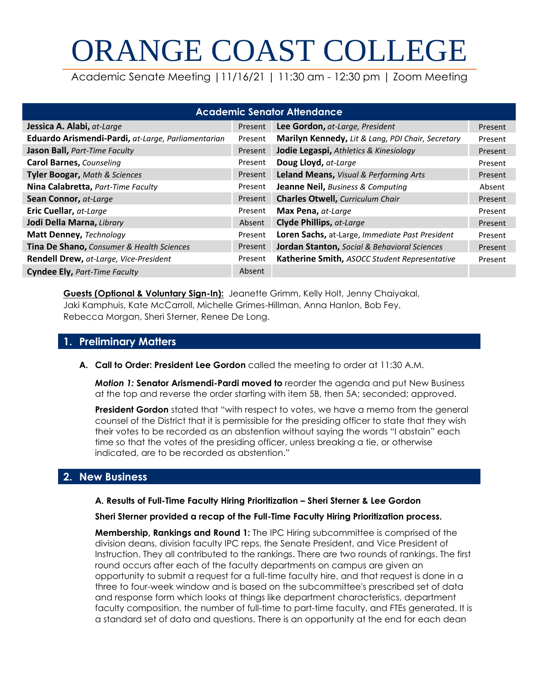# ORANGE COAST COLLEGE

Academic Senate Meeting |11/16/21 | 11:30 am - 12:30 pm | Zoom Meeting

| <b>Academic Senator Attendance</b>                 |         |                                                   |         |  |  |  |
|----------------------------------------------------|---------|---------------------------------------------------|---------|--|--|--|
| Jessica A. Alabi, at-Large                         |         | Lee Gordon, at-Large, President                   | Present |  |  |  |
| Eduardo Arismendi-Pardi, at-Large, Parliamentarian | Present | Marilyn Kennedy, Lit & Lang, PDI Chair, Secretary | Present |  |  |  |
| Jason Ball, Part-Time Faculty                      | Present | Jodie Legaspi, Athletics & Kinesiology            | Present |  |  |  |
| <b>Carol Barnes, Counseling</b>                    | Present | Doug Lloyd, at-Large                              | Present |  |  |  |
| <b>Tyler Boogar, Math &amp; Sciences</b>           | Present | Leland Means, Visual & Performing Arts            | Present |  |  |  |
| Nina Calabretta, Part-Time Faculty                 | Present | <b>Jeanne Neil, Business &amp; Computing</b>      | Absent  |  |  |  |
| Sean Connor, at-Large                              | Present | <b>Charles Otwell, Curriculum Chair</b>           | Present |  |  |  |
| Eric Cuellar, at-Large                             | Present | Max Pena, at-Large                                | Present |  |  |  |
| Jodi Della Marna, Library                          | Absent  | <b>Clyde Phillips, at-Large</b>                   | Present |  |  |  |
| Matt Denney, Technology                            | Present | Loren Sachs, at-Large, Immediate Past President   | Present |  |  |  |
| Tina De Shano, Consumer & Health Sciences          | Present | Jordan Stanton, Social & Behavioral Sciences      | Present |  |  |  |
| Rendell Drew, at-Large, Vice-President             | Present | Katherine Smith, ASOCC Student Representative     | Present |  |  |  |
| <b>Cyndee Ely, Part-Time Faculty</b>               | Absent  |                                                   |         |  |  |  |

**Guests (Optional & Voluntary Sign-In):** Jeanette Grimm, Kelly Holt, Jenny Chaiyakal, Jaki Kamphuis, Kate McCarroll, Michelle Grimes-Hillman, Anna Hanlon, Bob Fey, Rebecca Morgan, Sheri Sterner, Renee De Long.

# **1. Preliminary Matters**

**A. Call to Order: President Lee Gordon** called the meeting to order at 11:30 A.M.

*Motion 1:* **Senator Arismendi-Pardi moved to** reorder the agenda and put New Business at the top and reverse the order starting with item 5B, then 5A; seconded; approved.

**President Gordon** stated that "with respect to votes, we have a memo from the general counsel of the District that it is permissible for the presiding officer to state that they wish their votes to be recorded as an abstention without saying the words "I abstain" each time so that the votes of the presiding officer, unless breaking a tie, or otherwise indicated, are to be recorded as abstention."

# **2. New Business**

#### **A. Results of Full-Time Faculty Hiring Prioritization – Sheri Sterner & Lee Gordon**

#### **Sheri Sterner provided a recap of the Full-Time Faculty Hiring Prioritization process.**

**Membership, Rankings and Round 1:** The IPC Hiring subcommittee is comprised of the division deans, division faculty IPC reps, the Senate President, and Vice President of Instruction. They all contributed to the rankings. There are two rounds of rankings. The first round occurs after each of the faculty departments on campus are given an opportunity to submit a request for a full-time faculty hire, and that request is done in a three to four-week window and is based on the subcommittee's prescribed set of data and response form which looks at things like department characteristics, department faculty composition, the number of full-time to part-time faculty, and FTEs generated. It is a standard set of data and questions. There is an opportunity at the end for each dean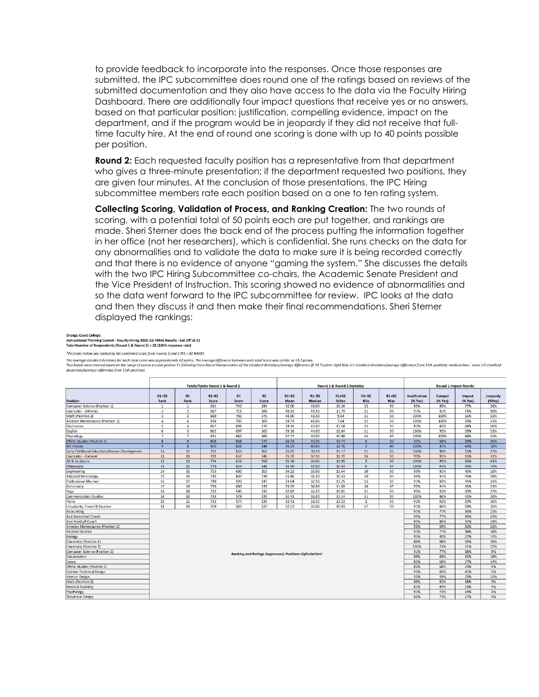to provide feedback to incorporate into the responses. Once those responses are submitted, the IPC subcommittee does round one of the ratings based on reviews of the submitted documentation and they also have access to the data via the Faculty Hiring Dashboard. There are additionally four impact questions that receive yes or no answers, based on that particular position: justification, compelling evidence, impact on the department, and if the program would be in jeopardy if they did not receive that fulltime faculty hire. At the end of round one scoring is done with up to 40 points possible per position.

**Round 2:** Each requested faculty position has a representative from that department who gives a three-minute presentation; if the department requested two positions, they are given four minutes. At the conclusion of those presentations, the IPC Hiring subcommittee members rate each position based on a one to ten rating system.

**Collecting Scoring, Validation of Process, and Ranking Creation:** The two rounds of scoring, with a potential total of 50 points each are put together, and rankings are made. Sheri Sterner does the back end of the process putting the information together in her office (not her researchers), which is confidential. She runs checks on the data for any abnormalities and to validate the data to make sure it is being recorded correctly and that there is no evidence of anyone "gaming the system." She discusses the details with the two IPC Hiring Subcommittee co-chairs, the Academic Senate President and the Vice President of Instruction. This scoring showed no evidence of abnormalities and so the data went forward to the IPC subcommittee for review. IPC looks at the data and then they discuss it and then make their final recommendations. Sheri Sterner displayed the rankings:

**Orange Coast College** 

Instructional Planning Council - Faculty Hiring 2022-23: FINAL Results - Cut Off at 11 Total Number of Respondents (Round 1 & Round 2) = 22 (100% respo

\*Positions below are ranked by the combined score from rounds 1 and 2 (R1 + R2 RANK).

The average standard deviation for each total score was approximately 12 points. The average difference between each total score was similar at 13.7 points.<br>Two bands were created based on the range of scores around postio deviations/average difference from 11th position).

|                                             | Totals/Ranks Round 1 & Round 2                         |                           |                  |             | Round 1 & Round 2 Statistics |                 |                   |                  |                | <b>Round 1 Impact Results</b> |                                 |                   |                   |                    |
|---------------------------------------------|--------------------------------------------------------|---------------------------|------------------|-------------|------------------------------|-----------------|-------------------|------------------|----------------|-------------------------------|---------------------------------|-------------------|-------------------|--------------------|
| Position                                    | $R1+R2$<br>Rank                                        | R1<br>Rank                | $R1+R2$<br>Score | R1<br>Score | R2<br>Score                  | $R1+R2$<br>Mean | $R1+R2$<br>Median | $R1+R2$<br>StDev | $R1+R2$<br>Min | $R1+R2$<br>Max                | <b>Justification</b><br>(% Yes) | Compel<br>(% Yes) | Impact<br>(% Yes) | Jeopardy<br>(%Yes) |
| Computer Science (Position 1)               | $\mathbf{1}$                                           | $\mathbf{1}$              | 924              | 740         | 184                          | 42.00           | 46.00             | 10.26            | 13             | 50                            | 95%                             | 95%               | 77%               | 36%                |
| Counselor - Athletes                        | $\overline{2}$                                         | $\overline{2}$            | 887              | 721         | 166                          | 40.32           | 45.50             | 11.79            | 12             | 50                            | 91%                             | 91%               | 73%               | 50%                |
| Math (Position 1)                           | $\overline{\mathbf{3}}$                                | $\overline{\mathbf{3}}$   | 880              | 705         | 175                          | 40.00           | 41.50             | 9.64             | 11             | 50                            | 100%                            | 100%              | 55%               | 32%                |
| Aviation Maintenance (Position 1)           | $\mathbf{A}$                                           | $\overline{4}$            | 874              | 705         | 169                          | 39.73           | 41.00             | 7.64             | 21             | 50                            | 100%                            | 100%              | 59%               | 23%                |
| Electronics                                 | 5                                                      | 6                         | 867              | 691         | 176                          | 39.41           | 44.00             | 11.48            | 15             | 50                            | 91%                             | 82%               | 68%               | 50%                |
| English                                     | 6                                                      | $\overline{5}$            | 862              | 697         | 165                          | 39.18           | 44.00             | 12.84            | 11             | 50                            | 100%                            | 95%               | 59%               | 23%                |
| Physiology                                  | $\overline{7}$                                         | $\overline{7}$            | 831              | 662         | 169                          | 37.77           | 40.00             | 10.08            | 14             | 50                            | 100%                            | 100%              | 68%               | 32%                |
| <b>Ethnic Studies (Position 1)</b>          | $\overline{\mathbf{8}}$                                | $\overline{q}$            | 808              | 638         | 170                          | 36.73           | 40.50             | 13.74            | 6              | 50                            | 55%                             | 68%               | 59%               | 36%                |
| <b>Art History</b>                          | $\mathbf{9}$                                           | 8                         | 805              | 661         | 144                          | 36.59           | 40.00             | 12.76            | $\overline{2}$ | 49                            | 100%                            | 91%               | 45%               | 18%                |
| Early Childhood Education/Human Development | 10                                                     | 11                        | 791              | 629         | 162                          | 35.95           | 39.50             | 11.17            | 11             | 50                            | 100%                            | 86%               | 55%               | 27%                |
| Counselor - General                         | 11                                                     | 10                        | 783              | 637         | 146                          | 35.59           | 37.50             | 10.70            | 16             | 50                            | 95%                             | 91%               | 55%               | 32%                |
| 3D & Sculpture                              | 12                                                     | 13                        | 774              | 616         | 158                          | 35.18           | 35.00             | 12.99            | $\overline{2}$ | 50                            | 100%                            | 95%               | 50%               | 41%                |
| Philosophy                                  | 13                                                     | 12                        | 770              | 624         | 146                          | 35.00           | 37.00             | 10.34            | 6              | 47                            | 100%                            | 91%               | 45%               | 14%                |
| Engineering                                 | 14                                                     | 15                        | 753              | 600         | 153                          | 34.23           | 35.00             | 11.64            | 10             | 50                            | 95%                             | 91%               | 45%               | 18%                |
| <b>Adapted Kinesiology</b>                  | 15                                                     | 14                        | 745              | 607         | 138                          | 33.86           | 35.50             | 10.53            | 10             | 50                            | 95%                             | 91%               | 45%               | 36%                |
| Professional Mariner                        | 16                                                     | 17                        | 740              | 593         | 147                          | 33.64           | 32.50             | 11.25            | 13             | 50                            | 91%                             | 82%               | 45%               | 36%                |
| Astronomy                                   | 17                                                     | 16                        | 739              | 600         | 139                          | 33.59           | 36.00             | 11.69            | 10             | 47                            | 95%                             | 91%               | 45%               | 23%                |
| Yoga                                        | 18                                                     | 18                        | 722              | 590         | 132                          | 32.82           | 32.50             | 10.01            | 11             | 50                            | 95%                             | 82%               | 50%               | 27%                |
| Communication Studies                       | 19                                                     | 20                        | 713              | 578         | 135                          | 32.41           | 31.00             | 11.14            | 11             | 50                            | 100%                            | 86%               | 45%               | 18%                |
| Piano                                       | 20                                                     | 21                        | 713              | 574         | 139                          | 32.41           | 31.50             | 13.23            | $\overline{2}$ | 50                            | 91%                             | 82%               | 50%               | 36%                |
| Hospitality, Travel & Tourism               | 21                                                     | 19                        | 709              | 582         | 127                          | 32.23           | 32.00             | 10.93            | 17             | 50                            | 91%                             | 86%               | 59%               | 36%                |
| Accounting                                  |                                                        |                           |                  |             |                              |                 |                   |                  |                |                               | 91%                             | 77%               | 36%               | 23%                |
| Asst Basketball Coach                       |                                                        |                           |                  |             |                              |                 |                   |                  |                |                               | 95%                             | 77%               | 45%               | 23%                |
| Asst Football Coach                         |                                                        |                           |                  |             |                              |                 |                   |                  |                |                               | 95%                             | 86%               | 32%               | 18%                |
| Aviation Maintenance (Position 2)           |                                                        |                           |                  |             |                              |                 |                   |                  |                |                               | 55%                             | 59%               | 50%               | 32%                |
| <b>Aviation Science</b>                     |                                                        |                           |                  |             |                              |                 |                   |                  |                |                               | 91%                             | 77%               | 36%               | 18%                |
| Biology                                     |                                                        |                           |                  |             |                              |                 |                   |                  |                |                               | 95%                             | 95%               | 27%               | 14%                |
| Chemistry (Position 1)                      |                                                        | 86%<br>68%<br>32%<br>18%  |                  |             |                              |                 |                   |                  |                |                               |                                 |                   |                   |                    |
| Chemistry (Position 2)                      |                                                        | 73%<br>41%<br>27%<br>100% |                  |             |                              |                 |                   |                  |                |                               |                                 |                   |                   |                    |
| Computer Science (Position 2)               | Ranking and Ratings Suppressed: Positions Alphabetized |                           |                  |             |                              |                 |                   |                  | 91%            | 77%                           | 18%                             | 9%                |                   |                    |
| Construction                                |                                                        |                           |                  |             |                              |                 |                   |                  |                |                               | 86%                             | 68%               | 32%               | 18%                |
| Dance                                       | 27%<br>86%<br>68%<br>14%                               |                           |                  |             |                              |                 |                   |                  |                |                               |                                 |                   |                   |                    |
| Ethnic Studies (Position 2)                 | 82%<br>68%<br>23%<br>9%                                |                           |                  |             |                              |                 |                   |                  |                |                               |                                 |                   |                   |                    |
| <b>Fashion Technical Design</b>             | 82%<br>41%<br>5%<br>91%<br>55%<br>59%<br>23%<br>14%    |                           |                  |             |                              |                 |                   |                  |                |                               |                                 |                   |                   |                    |
| Interior Design                             |                                                        |                           |                  |             |                              |                 |                   |                  |                |                               |                                 |                   |                   |                    |
| Math (Position 2)                           | 86%<br>82%<br>18%<br>9%<br>23%<br>82%<br>45%<br>5%     |                           |                  |             |                              |                 |                   |                  |                |                               |                                 |                   |                   |                    |
| <b>Medical Assisting</b>                    |                                                        |                           |                  |             |                              |                 |                   |                  |                |                               |                                 |                   |                   |                    |
| Psychology                                  | 91%<br>14%<br>5%<br>73%                                |                           |                  |             |                              |                 |                   |                  |                |                               |                                 |                   |                   |                    |
| <b>Theatrical Design</b>                    | 82%<br>73%<br>27%<br>9%                                |                           |                  |             |                              |                 |                   |                  |                |                               |                                 |                   |                   |                    |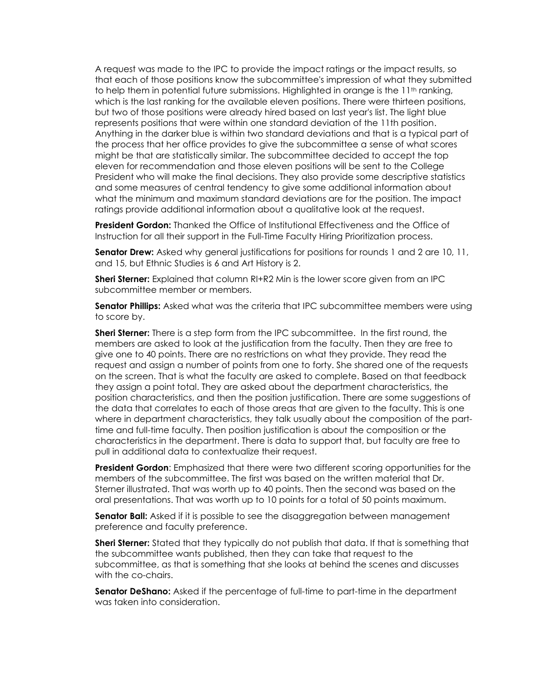A request was made to the IPC to provide the impact ratings or the impact results, so that each of those positions know the subcommittee's impression of what they submitted to help them in potential future submissions. Highlighted in orange is the  $11<sup>th</sup>$  ranking, which is the last ranking for the available eleven positions. There were thirteen positions, but two of those positions were already hired based on last year's list. The light blue represents positions that were within one standard deviation of the 11th position. Anything in the darker blue is within two standard deviations and that is a typical part of the process that her office provides to give the subcommittee a sense of what scores might be that are statistically similar. The subcommittee decided to accept the top eleven for recommendation and those eleven positions will be sent to the College President who will make the final decisions. They also provide some descriptive statistics and some measures of central tendency to give some additional information about what the minimum and maximum standard deviations are for the position. The impact ratings provide additional information about a qualitative look at the request.

**President Gordon:** Thanked the Office of Institutional Effectiveness and the Office of Instruction for all their support in the Full-Time Faculty Hiring Prioritization process.

**Senator Drew:** Asked why general justifications for positions for rounds 1 and 2 are 10, 11, and 15, but Ethnic Studies is 6 and Art History is 2.

**Sheri Sterner:** Explained that column RI+R2 Min is the lower score given from an IPC subcommittee member or members.

**Senator Phillips:** Asked what was the criteria that IPC subcommittee members were using to score by.

**Sheri Sterner:** There is a step form from the IPC subcommittee. In the first round, the members are asked to look at the justification from the faculty. Then they are free to give one to 40 points. There are no restrictions on what they provide. They read the request and assign a number of points from one to forty. She shared one of the requests on the screen. That is what the faculty are asked to complete. Based on that feedback they assign a point total. They are asked about the department characteristics, the position characteristics, and then the position justification. There are some suggestions of the data that correlates to each of those areas that are given to the faculty. This is one where in department characteristics, they talk usually about the composition of the parttime and full-time faculty. Then position justification is about the composition or the characteristics in the department. There is data to support that, but faculty are free to pull in additional data to contextualize their request.

**President Gordon**: Emphasized that there were two different scoring opportunities for the members of the subcommittee. The first was based on the written material that Dr. Sterner illustrated. That was worth up to 40 points. Then the second was based on the oral presentations. That was worth up to 10 points for a total of 50 points maximum.

**Senator Ball:** Asked if it is possible to see the disaggregation between management preference and faculty preference.

**Sheri Sterner:** Stated that they typically do not publish that data. If that is something that the subcommittee wants published, then they can take that request to the subcommittee, as that is something that she looks at behind the scenes and discusses with the co-chairs.

**Senator DeShano:** Asked if the percentage of full-time to part-time in the department was taken into consideration.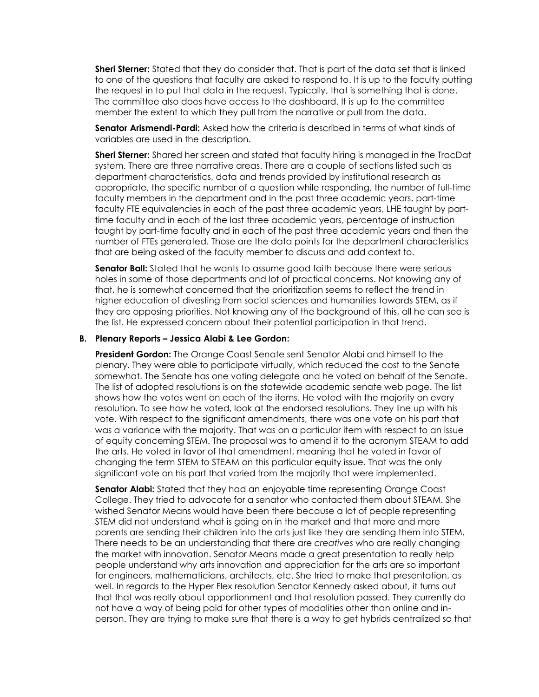**Sheri Sterner:** Stated that they do consider that. That is part of the data set that is linked to one of the questions that faculty are asked to respond to. It is up to the faculty putting the request in to put that data in the request. Typically, that is something that is done. The committee also does have access to the dashboard. It is up to the committee member the extent to which they pull from the narrative or pull from the data.

**Senator Arismendi-Pardi:** Asked how the criteria is described in terms of what kinds of variables are used in the description.

**Sheri Sterner:** Shared her screen and stated that faculty hiring is managed in the TracDat system. There are three narrative areas. There are a couple of sections listed such as department characteristics, data and trends provided by institutional research as appropriate, the specific number of a question while responding, the number of full-time faculty members in the department and in the past three academic years, part-time faculty FTE equivalencies in each of the past three academic years, LHE taught by parttime faculty and in each of the last three academic years, percentage of instruction taught by part-time faculty and in each of the past three academic years and then the number of FTEs generated. Those are the data points for the department characteristics that are being asked of the faculty member to discuss and add context to.

**Senator Ball:** Stated that he wants to assume good faith because there were serious holes in some of those departments and lot of practical concerns. Not knowing any of that, he is somewhat concerned that the prioritization seems to reflect the trend in higher education of divesting from social sciences and humanities towards STEM, as if they are opposing priorities. Not knowing any of the background of this, all he can see is the list. He expressed concern about their potential participation in that trend.

#### **B. Plenary Reports – Jessica Alabi & Lee Gordon:**

**President Gordon:** The Orange Coast Senate sent Senator Alabi and himself to the plenary. They were able to participate virtually, which reduced the cost to the Senate somewhat. The Senate has one voting delegate and he voted on behalf of the Senate. The list of adopted resolutions is on the statewide academic senate web page. The list shows how the votes went on each of the items. He voted with the majority on every resolution. To see how he voted, look at the endorsed resolutions. They line up with his vote. With respect to the significant amendments, there was one vote on his part that was a variance with the majority. That was on a particular item with respect to an issue of equity concerning STEM. The proposal was to amend it to the acronym STEAM to add the arts. He voted in favor of that amendment, meaning that he voted in favor of changing the term STEM to STEAM on this particular equity issue. That was the only significant vote on his part that varied from the majority that were implemented.

**Senator Alabi:** Stated that they had an enjoyable time representing Orange Coast College. They tried to advocate for a senator who contacted them about STEAM. She wished Senator Means would have been there because a lot of people representing STEM did not understand what is going on in the market and that more and more parents are sending their children into the arts just like they are sending them into STEM. There needs to be an understanding that there are *creatives* who are really changing the market with innovation. Senator Means made a great presentation to really help people understand why arts innovation and appreciation for the arts are so important for engineers, mathematicians, architects, etc. She tried to make that presentation, as well. In regards to the Hyper Flex resolution Senator Kennedy asked about, it turns out that that was really about apportionment and that resolution passed. They currently do not have a way of being paid for other types of modalities other than online and inperson. They are trying to make sure that there is a way to get hybrids centralized so that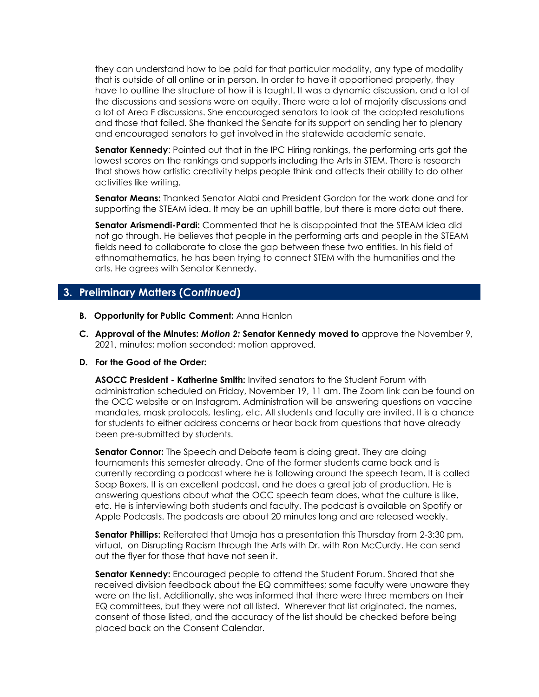they can understand how to be paid for that particular modality, any type of modality that is outside of all online or in person. In order to have it apportioned properly, they have to outline the structure of how it is taught. It was a dynamic discussion, and a lot of the discussions and sessions were on equity. There were a lot of majority discussions and a lot of Area F discussions. She encouraged senators to look at the adopted resolutions and those that failed. She thanked the Senate for its support on sending her to plenary and encouraged senators to get involved in the statewide academic senate.

**Senator Kennedy**: Pointed out that in the IPC Hiring rankings, the performing arts got the lowest scores on the rankings and supports including the Arts in STEM. There is research that shows how artistic creativity helps people think and affects their ability to do other activities like writing.

**Senator Means:** Thanked Senator Alabi and President Gordon for the work done and for supporting the STEAM idea. It may be an uphill battle, but there is more data out there.

**Senator Arismendi-Pardi:** Commented that he is disappointed that the STEAM idea did not go through. He believes that people in the performing arts and people in the STEAM fields need to collaborate to close the gap between these two entities. In his field of ethnomathematics, he has been trying to connect STEM with the humanities and the arts. He agrees with Senator Kennedy.

# **3. Preliminary Matters (***Continued***)**

- **B. Opportunity for Public Comment:** Anna Hanlon
- **C. Approval of the Minutes:** *Motion 2:* **Senator Kennedy moved to** approve the November 9, 2021, minutes; motion seconded; motion approved.

#### **D. For the Good of the Order:**

**ASOCC President - Katherine Smith:** Invited senators to the Student Forum with administration scheduled on Friday, November 19, 11 am. The Zoom link can be found on the OCC website or on Instagram. Administration will be answering questions on vaccine mandates, mask protocols, testing, etc. All students and faculty are invited. It is a chance for students to either address concerns or hear back from questions that have already been pre-submitted by students.

**Senator Connor:** The Speech and Debate team is doing great. They are doing tournaments this semester already. One of the former students came back and is currently recording a podcast where he is following around the speech team. It is called Soap Boxers. It is an excellent podcast, and he does a great job of production. He is answering questions about what the OCC speech team does, what the culture is like, etc. He is interviewing both students and faculty. The podcast is available on Spotify or Apple Podcasts. The podcasts are about 20 minutes long and are released weekly.

**Senator Phillips:** Reiterated that Umoja has a presentation this Thursday from 2-3:30 pm, virtual, on Disrupting Racism through the Arts with Dr. with Ron McCurdy. He can send out the flyer for those that have not seen it.

**Senator Kennedy:** Encouraged people to attend the Student Forum. Shared that she received division feedback about the EQ committees; some faculty were unaware they were on the list. Additionally, she was informed that there were three members on their EQ committees, but they were not all listed. Wherever that list originated, the names, consent of those listed, and the accuracy of the list should be checked before being placed back on the Consent Calendar.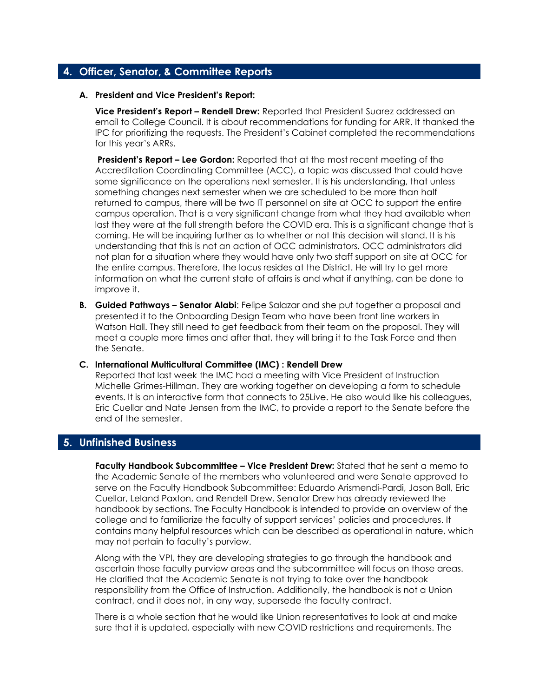# **4. Officer, Senator, & Committee Reports**

#### **A. President and Vice President's Report:**

**Vice President's Report – Rendell Drew:** Reported that President Suarez addressed an email to College Council. It is about recommendations for funding for ARR. It thanked the IPC for prioritizing the requests. The President's Cabinet completed the recommendations for this year's ARRs.

**President's Report – Lee Gordon:** Reported that at the most recent meeting of the Accreditation Coordinating Committee (ACC), a topic was discussed that could have some significance on the operations next semester. It is his understanding, that unless something changes next semester when we are scheduled to be more than half returned to campus, there will be two IT personnel on site at OCC to support the entire campus operation. That is a very significant change from what they had available when last they were at the full strength before the COVID era. This is a significant change that is coming. He will be inquiring further as to whether or not this decision will stand. It is his understanding that this is not an action of OCC administrators. OCC administrators did not plan for a situation where they would have only two staff support on site at OCC for the entire campus. Therefore, the locus resides at the District. He will try to get more information on what the current state of affairs is and what if anything, can be done to improve it.

**B. Guided Pathways – Senator Alabi**: Felipe Salazar and she put together a proposal and presented it to the Onboarding Design Team who have been front line workers in Watson Hall. They still need to get feedback from their team on the proposal. They will meet a couple more times and after that, they will bring it to the Task Force and then the Senate.

#### **C. International Multicultural Committee (IMC) : Rendell Drew**

Reported that last week the IMC had a meeting with Vice President of Instruction Michelle Grimes-Hillman. They are working together on developing a form to schedule events. It is an interactive form that connects to 25Live. He also would like his colleagues, Eric Cuellar and Nate Jensen from the IMC, to provide a report to the Senate before the end of the semester.

### **5. Unfinished Business**

**Faculty Handbook Subcommittee – Vice President Drew:** Stated that he sent a memo to the Academic Senate of the members who volunteered and were Senate approved to serve on the Faculty Handbook Subcommittee: Eduardo Arismendi-Pardi, Jason Ball, Eric Cuellar, Leland Paxton, and Rendell Drew. Senator Drew has already reviewed the handbook by sections. The Faculty Handbook is intended to provide an overview of the college and to familiarize the faculty of support services' policies and procedures. It contains many helpful resources which can be described as operational in nature, which may not pertain to faculty's purview.

Along with the VPI, they are developing strategies to go through the handbook and ascertain those faculty purview areas and the subcommittee will focus on those areas. He clarified that the Academic Senate is not trying to take over the handbook responsibility from the Office of Instruction. Additionally, the handbook is not a Union contract, and it does not, in any way, supersede the faculty contract.

There is a whole section that he would like Union representatives to look at and make sure that it is updated, especially with new COVID restrictions and requirements. The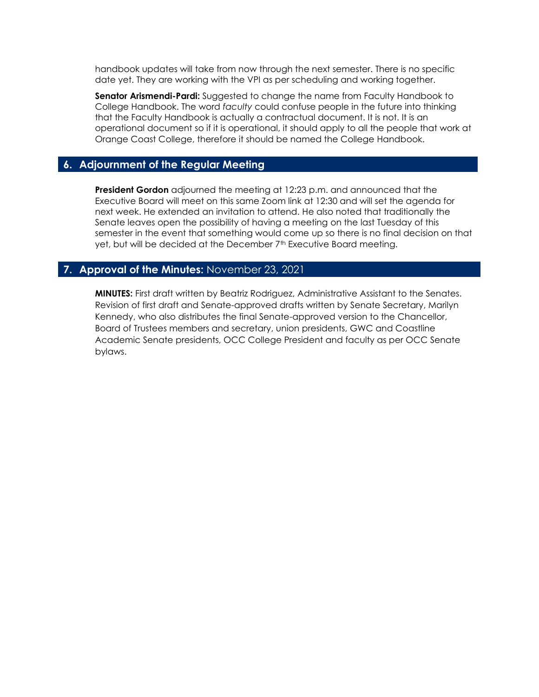handbook updates will take from now through the next semester. There is no specific date yet. They are working with the VPI as per scheduling and working together.

**Senator Arismendi-Pardi:** Suggested to change the name from Faculty Handbook to College Handbook. The word *faculty* could confuse people in the future into thinking that the Faculty Handbook is actually a contractual document. It is not. It is an operational document so if it is operational, it should apply to all the people that work at Orange Coast College, therefore it should be named the College Handbook.

# **6. Adjournment of the Regular Meeting**

**President Gordon** adjourned the meeting at 12:23 p.m. and announced that the Executive Board will meet on this same Zoom link at 12:30 and will set the agenda for next week. He extended an invitation to attend. He also noted that traditionally the Senate leaves open the possibility of having a meeting on the last Tuesday of this semester in the event that something would come up so there is no final decision on that yet, but will be decided at the December 7<sup>th</sup> Executive Board meeting.

### **7. Approval of the Minutes:** November 23, 2021

**MINUTES:** First draft written by Beatriz Rodriguez, Administrative Assistant to the Senates. Revision of first draft and Senate-approved drafts written by Senate Secretary, Marilyn Kennedy, who also distributes the final Senate-approved version to the Chancellor, Board of Trustees members and secretary, union presidents, GWC and Coastline Academic Senate presidents, OCC College President and faculty as per OCC Senate bylaws.